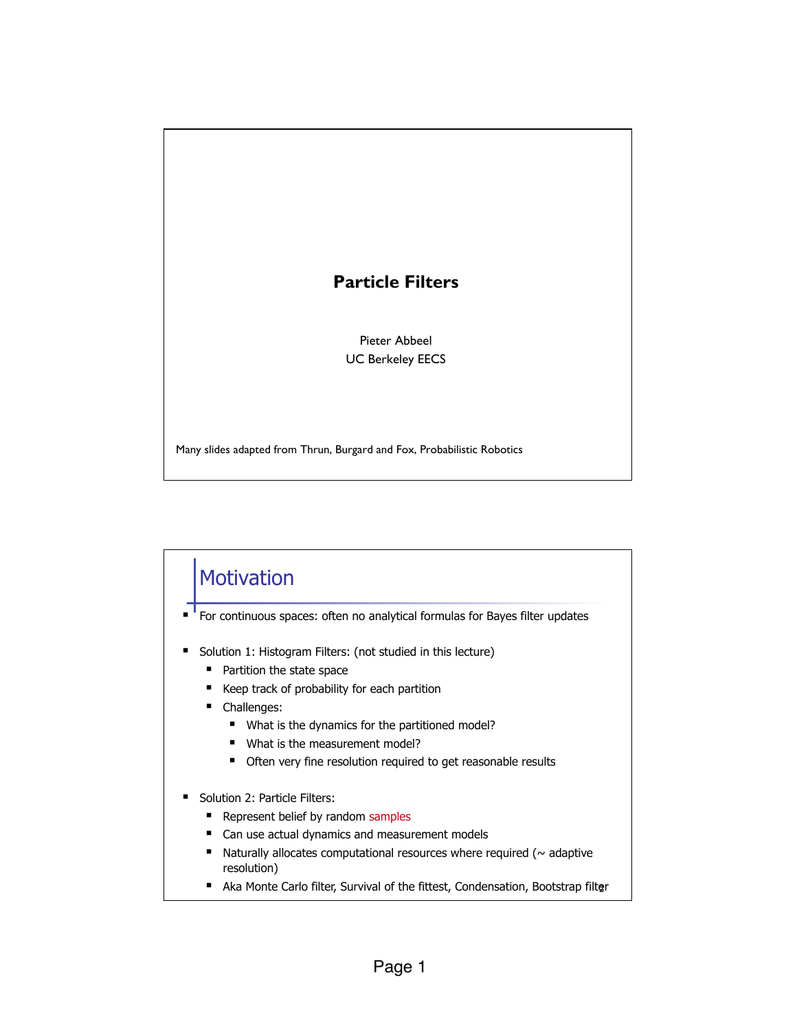## **Particle Filters**  Pieter Abbeel UC Berkeley EECS Many slides adapted from Thrun, Burgard and Fox, Probabilistic Robotics

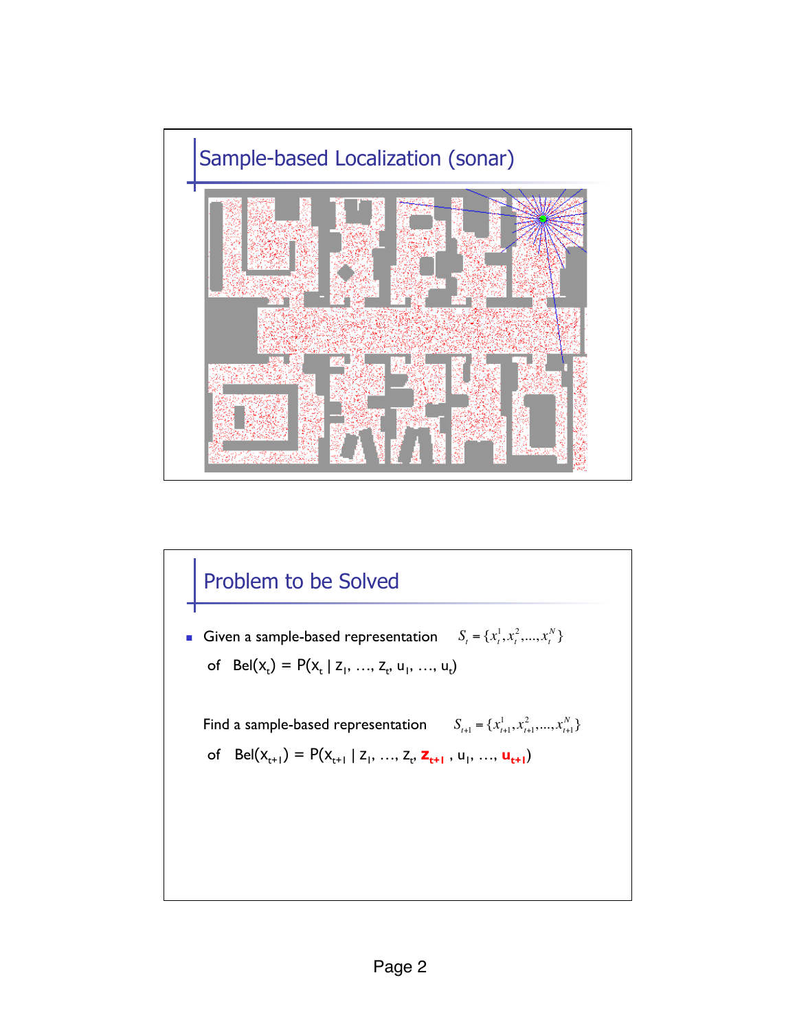

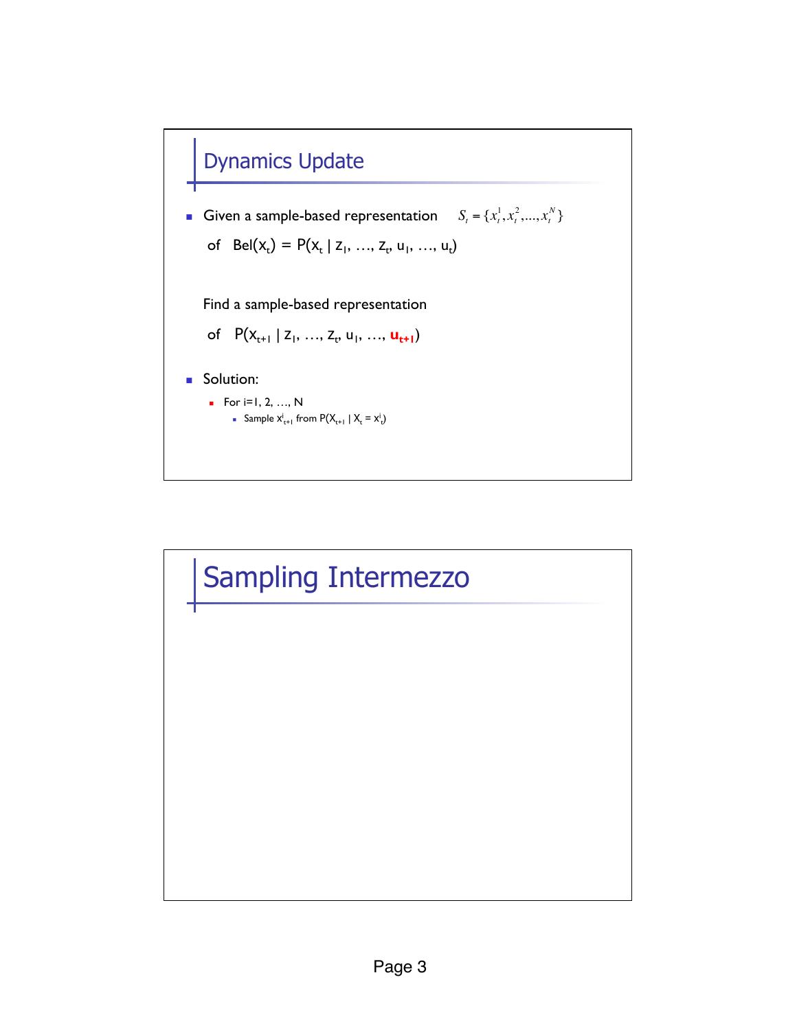

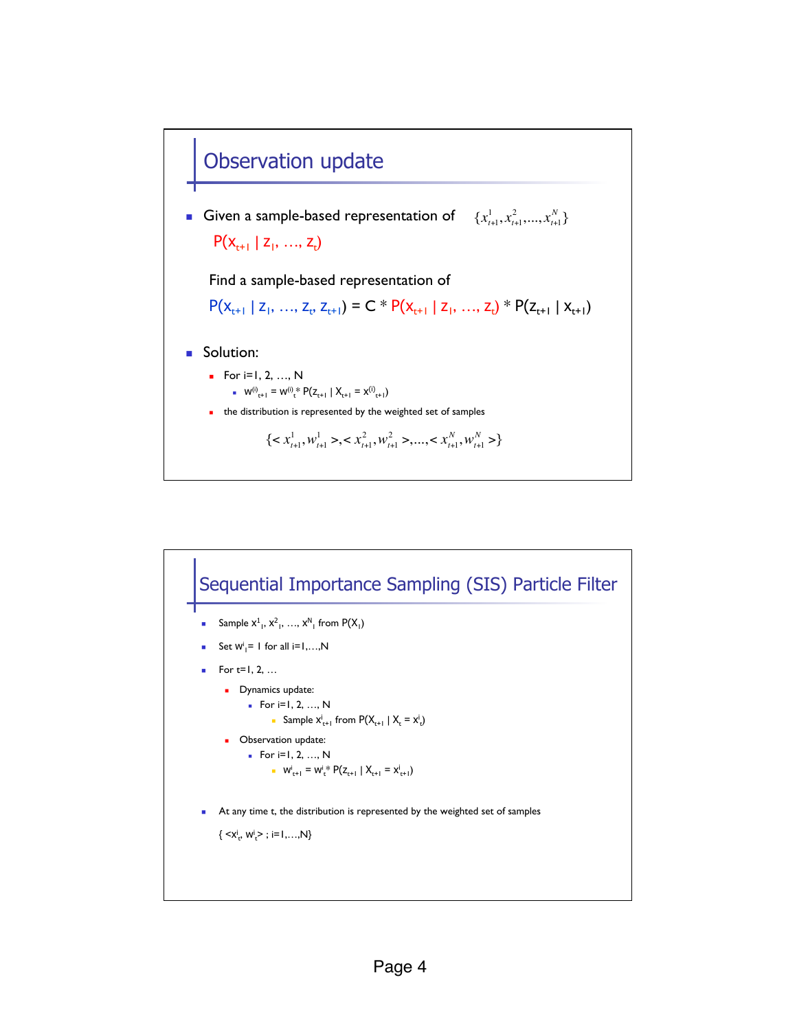

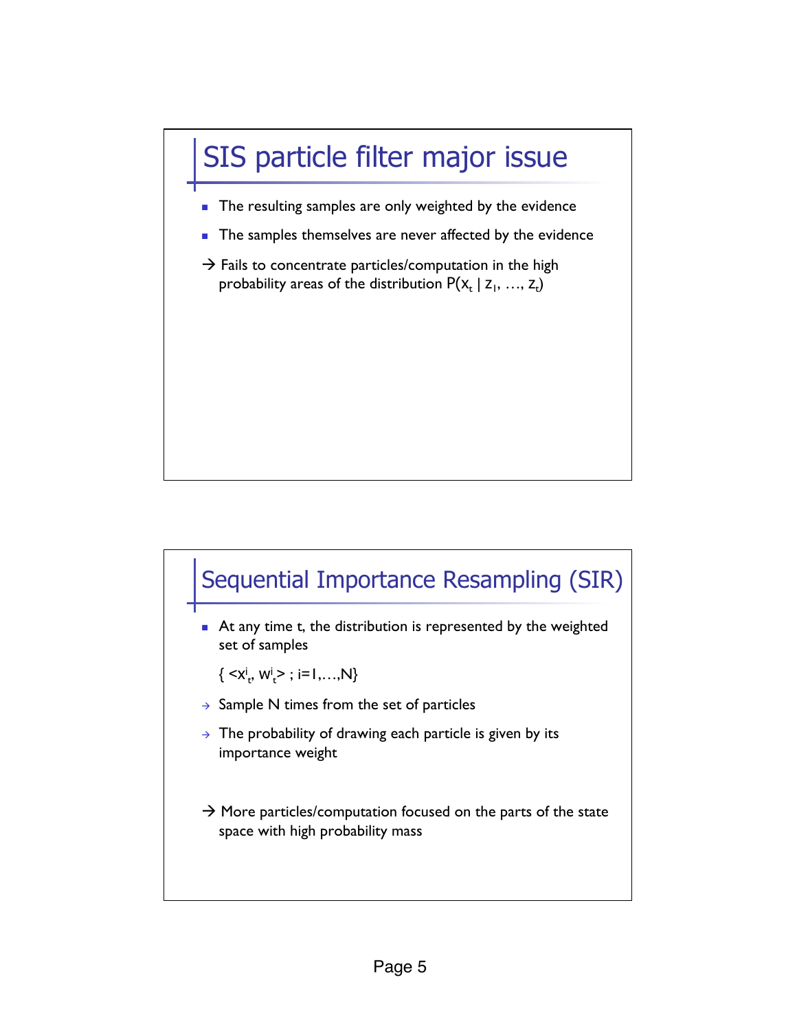## SIS particle filter major issue

- **The resulting samples are only weighted by the evidence**
- The samples themselves are never affected by the evidence
- $\rightarrow$  Fails to concentrate particles/computation in the high probability areas of the distribution  $P(X_t | Z_1, ..., Z_t)$

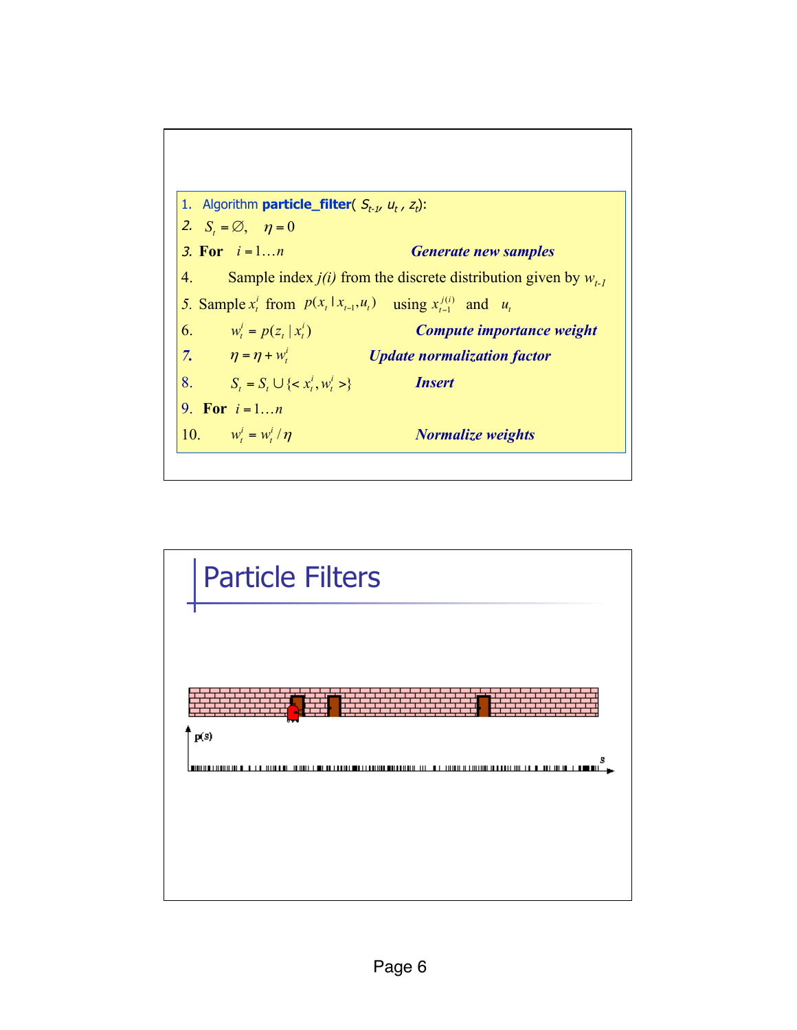

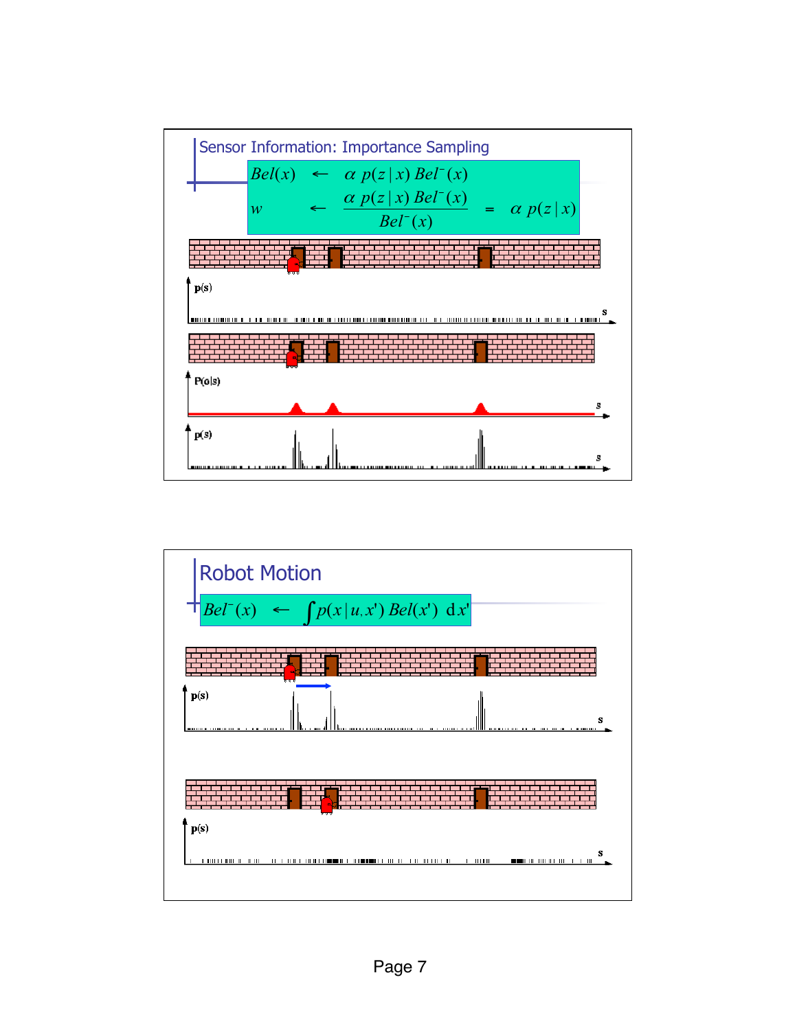

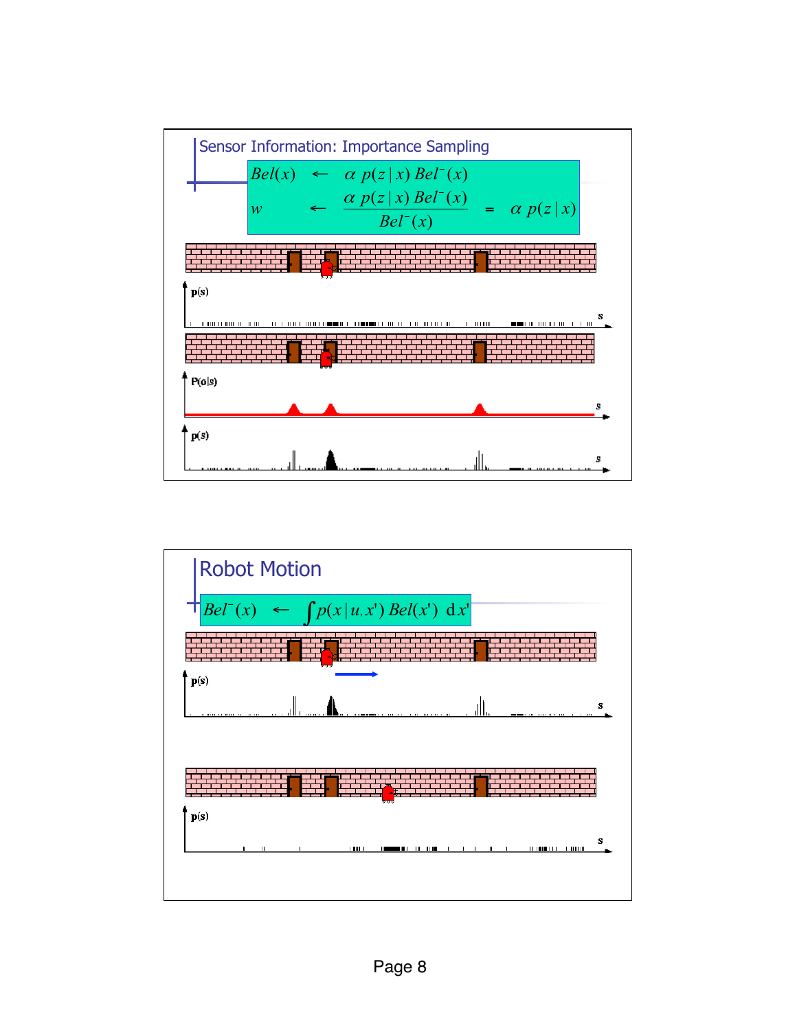

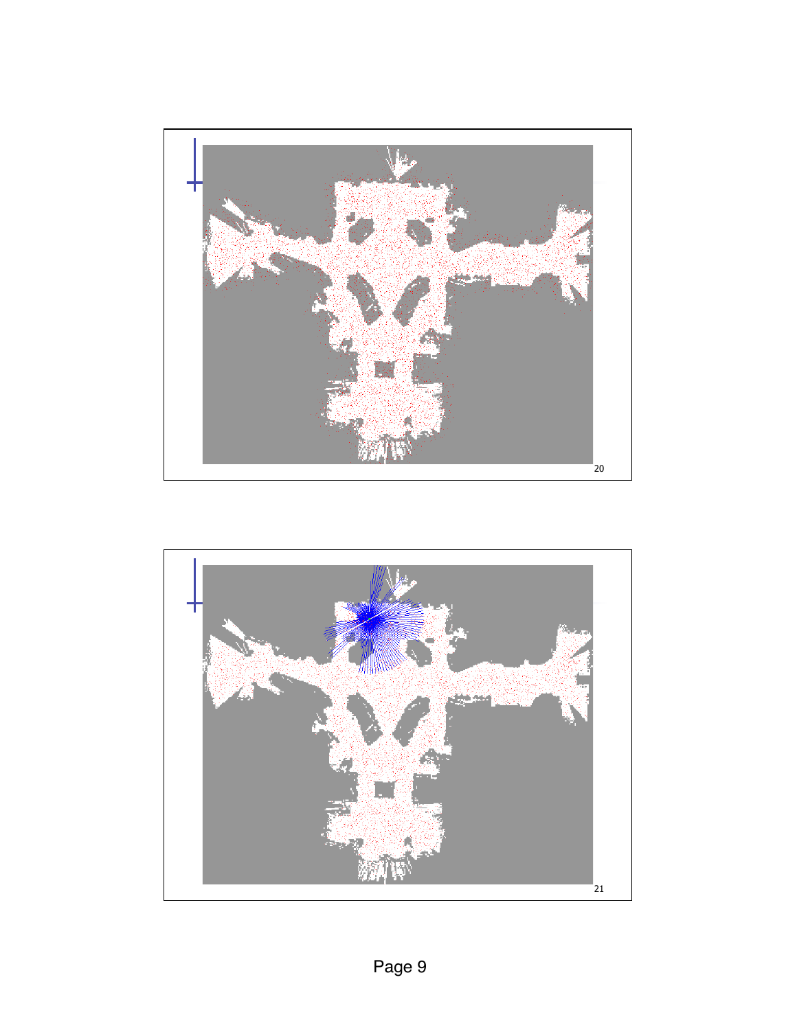

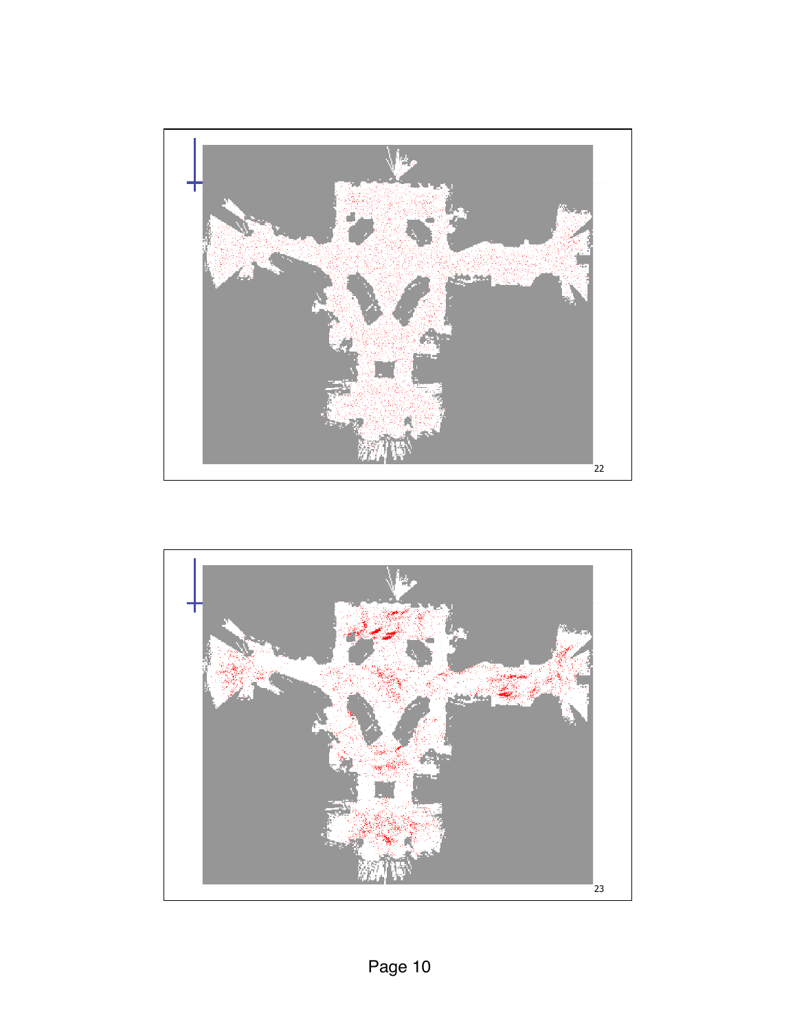

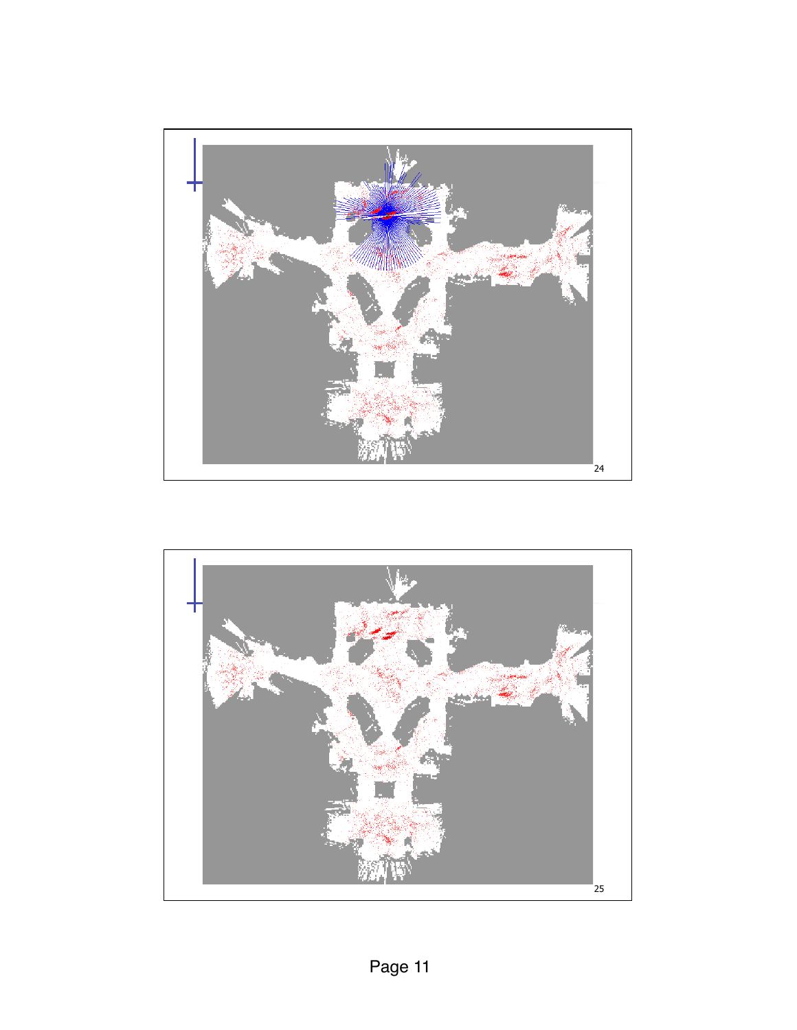

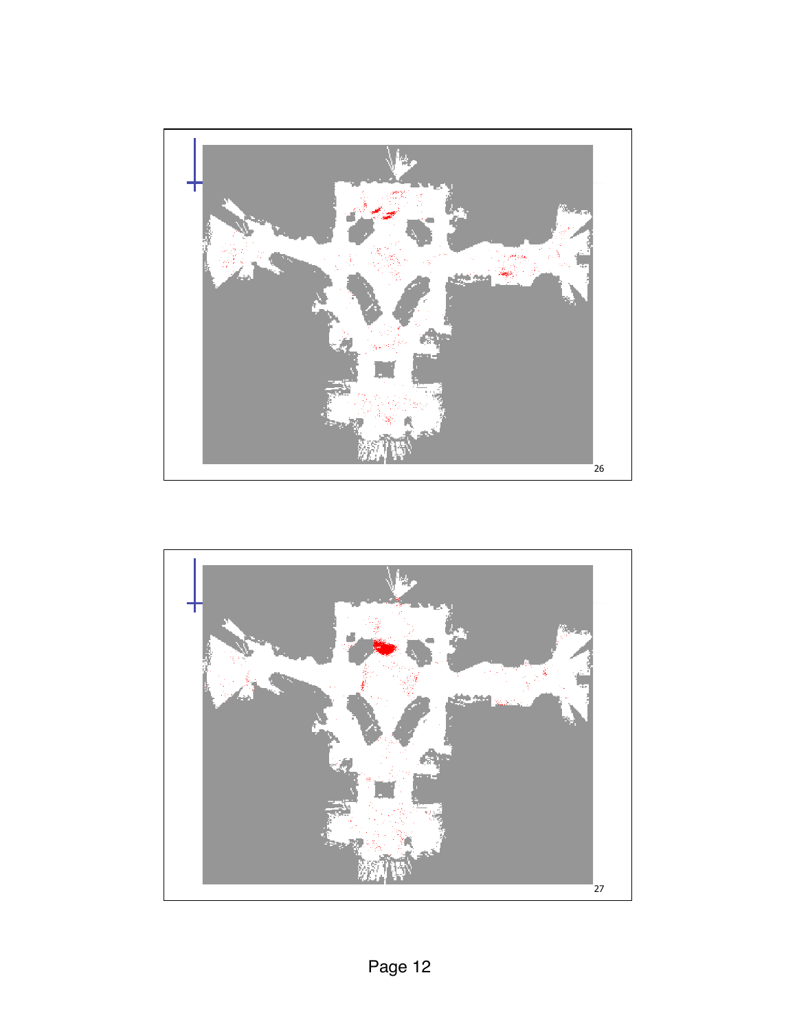

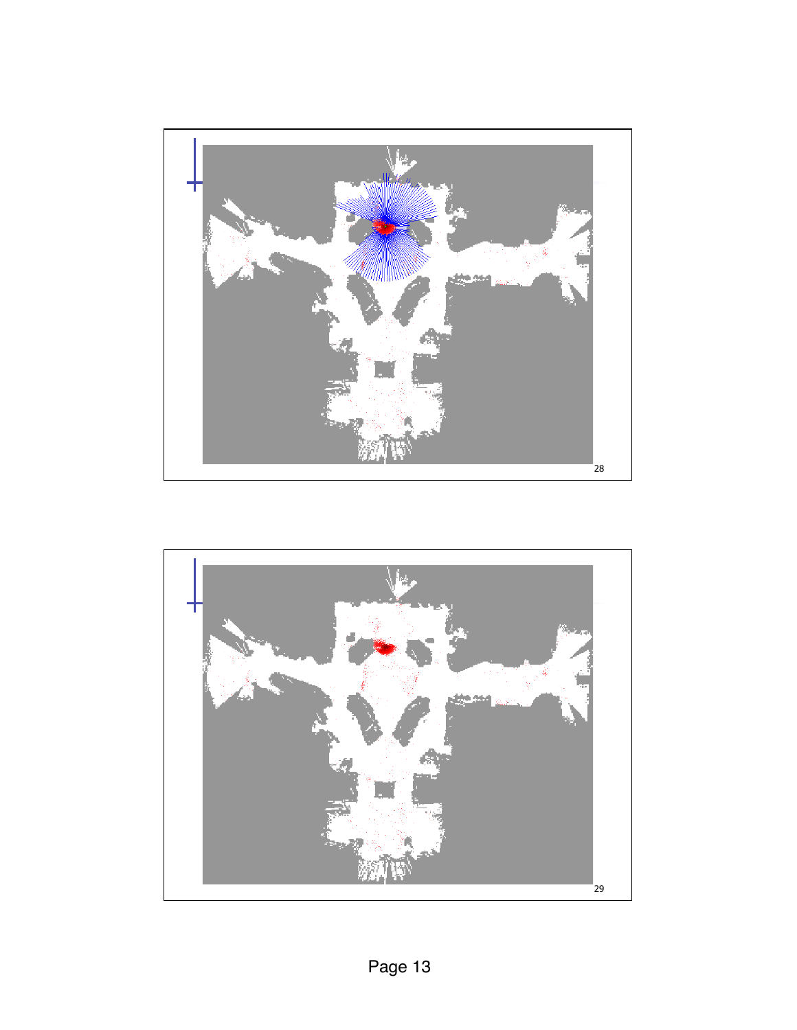

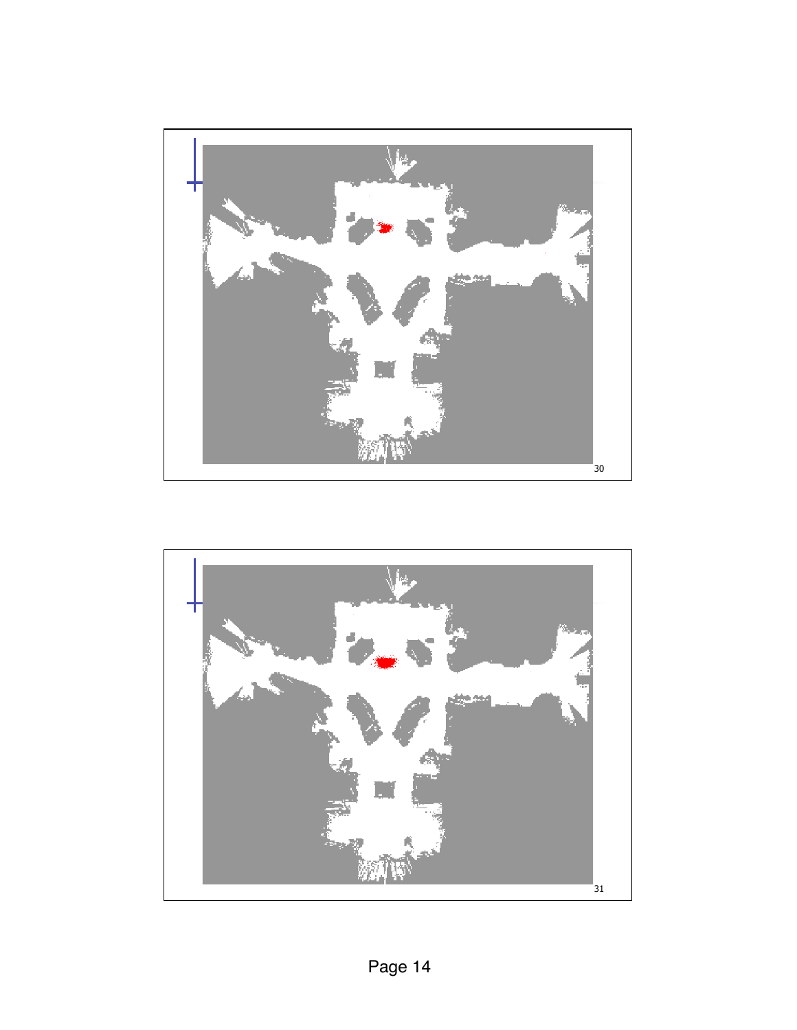

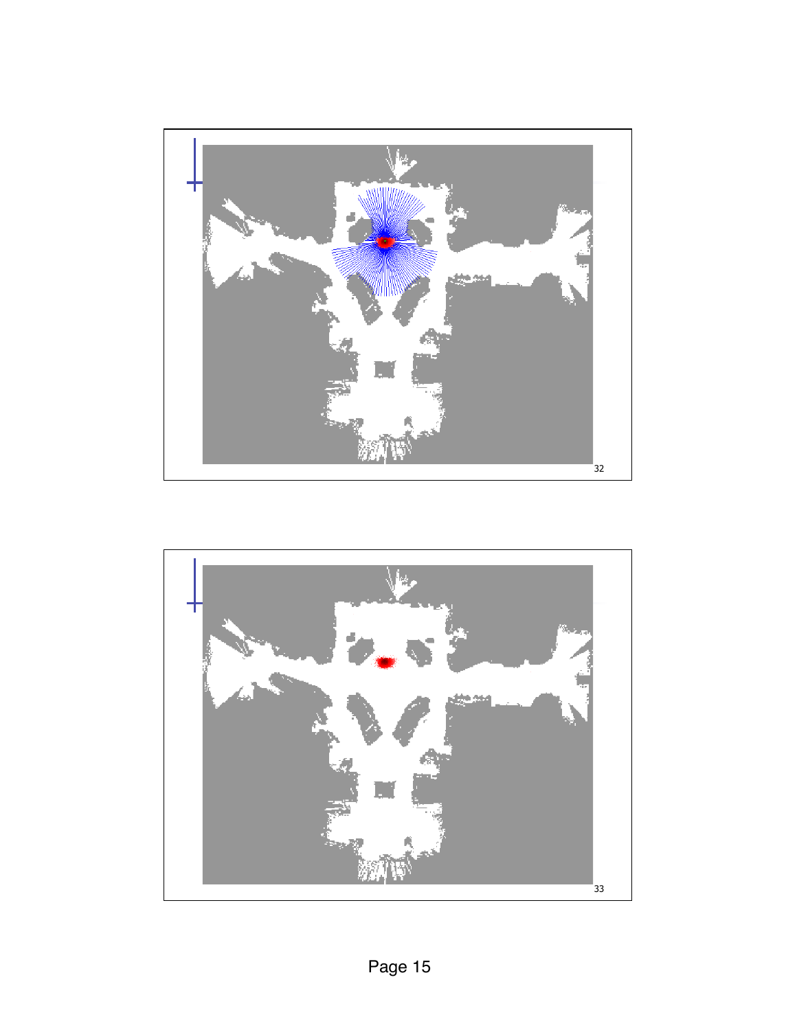

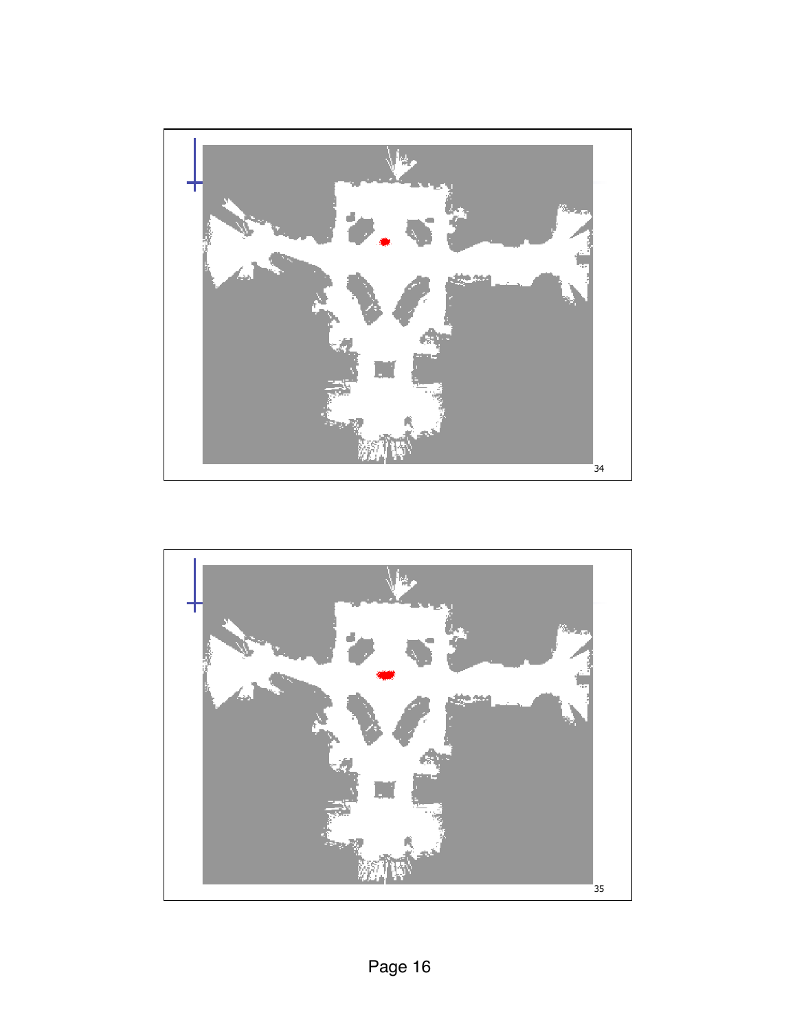

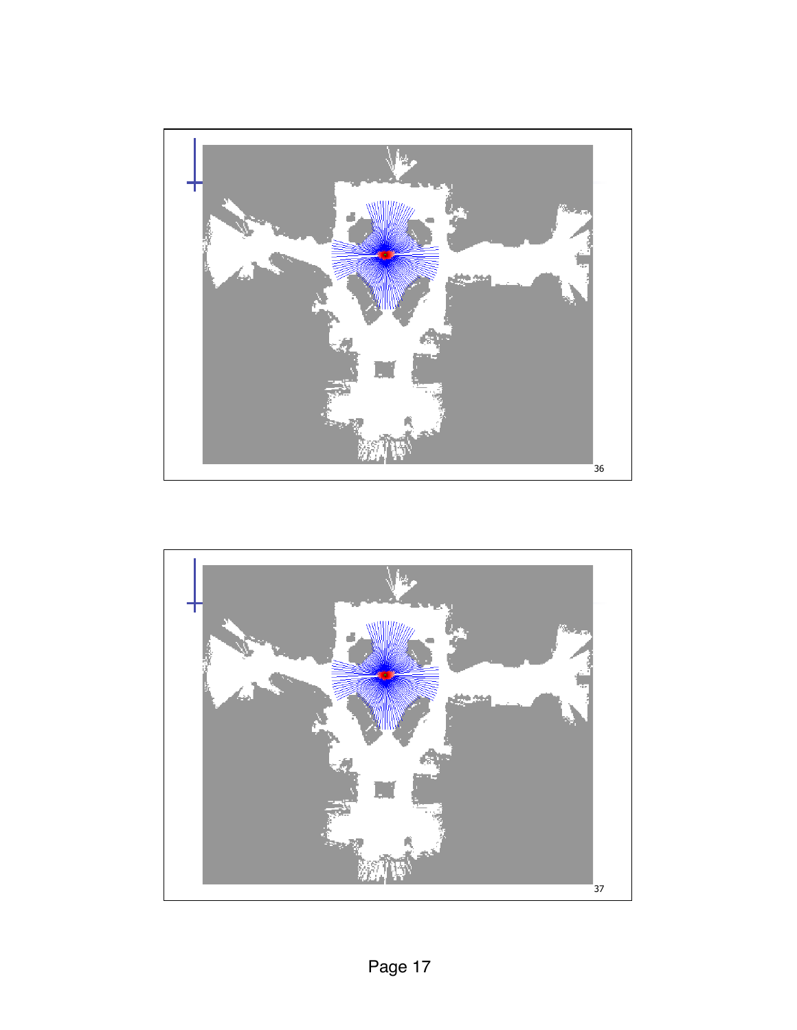